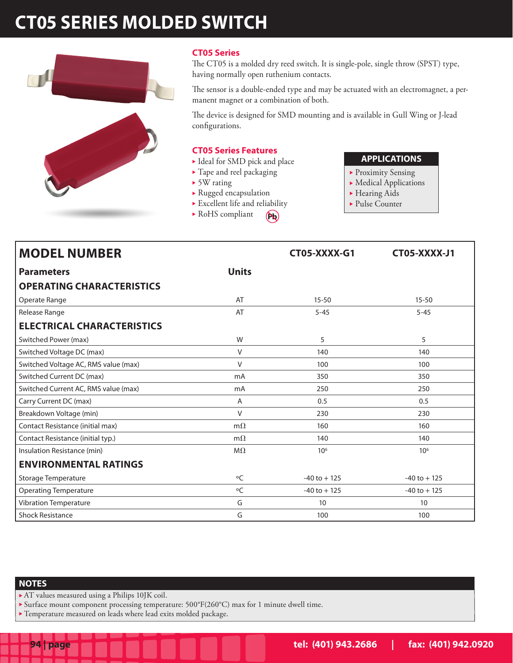# **CT05 SERIES MOLDED SWITCH**



## **CT05 Series**

The CT05 is a molded dry reed switch. It is single-pole, single throw (SPST) type, having normally open ruthenium contacts.

The sensor is a double-ended type and may be actuated with an electromagnet, a permanent magnet or a combination of both.

The device is designed for SMD mounting and is available in Gull Wing or J-lead configurations.

#### **CT05 Series Features**

- $\blacktriangleright$  Ideal for SMD pick and place
- $\blacktriangleright$  Tape and reel packaging
- $\triangleright$  5W rating
- $\blacktriangleright$  Rugged encapsulation
- $\blacktriangleright$  Excellent life and reliability
- $\blacktriangleright$  RoHS compliant  $(\mathbf{A})$

# **APPLICATIONS**

- **Proximity Sensing**
- $\blacktriangleright$  Medical Applications
- $\blacktriangleright$  Hearing Aids
- $\blacktriangleright$  Pulse Counter

| <b>MODEL NUMBER</b>                  |              | CT05-XXXX-G1    | CT05-XXXX-J1    |
|--------------------------------------|--------------|-----------------|-----------------|
| <b>Parameters</b>                    | <b>Units</b> |                 |                 |
| <b>OPERATING CHARACTERISTICS</b>     |              |                 |                 |
| Operate Range                        | AT           | $15 - 50$       | $15 - 50$       |
| Release Range                        | AT           | $5 - 45$        | $5 - 45$        |
| <b>ELECTRICAL CHARACTERISTICS</b>    |              |                 |                 |
| Switched Power (max)                 | W            | 5               | 5               |
| Switched Voltage DC (max)            | $\vee$       | 140             | 140             |
| Switched Voltage AC, RMS value (max) | V            | 100             | 100             |
| Switched Current DC (max)            | mA           | 350             | 350             |
| Switched Current AC, RMS value (max) | mA           | 250             | 250             |
| Carry Current DC (max)               | A            | 0.5             | 0.5             |
| Breakdown Voltage (min)              | $\vee$       | 230             | 230             |
| Contact Resistance (initial max)     | $m\Omega$    | 160             | 160             |
| Contact Resistance (initial typ.)    | $m\Omega$    | 140             | 140             |
| Insulation Resistance (min)          | $M\Omega$    | 10 <sup>6</sup> | 10 <sup>6</sup> |
| <b>ENVIRONMENTAL RATINGS</b>         |              |                 |                 |
| Storage Temperature                  | $\circ$ C    | $-40$ to $+125$ | $-40$ to $+125$ |
| <b>Operating Temperature</b>         | °C           | $-40$ to $+125$ | $-40$ to $+125$ |
| <b>Vibration Temperature</b>         | G            | 10              | 10              |
| <b>Shock Resistance</b>              | G            | 100             | 100             |

#### **NOTES**

- $\blacktriangleright$  AT values measured using a Philips 10JK coil.
- Surface mount component processing temperature:  $500^{\circ}F(260^{\circ}C)$  max for 1 minute dwell time.
- $\blacktriangleright$  Temperature measured on leads where lead exits molded package.